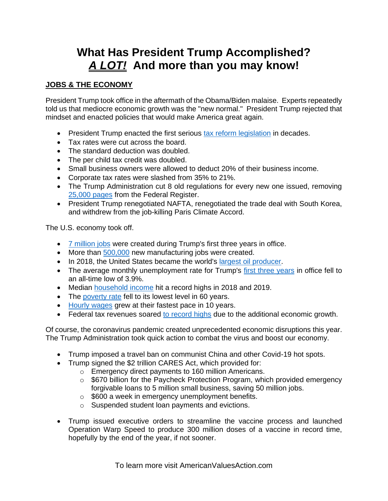# **What Has President Trump Accomplished?**  *A LOT!* **And more than you may know!**

#### **JOBS & THE ECONOMY**

President Trump took office in the aftermath of the Obama/Biden malaise. Experts repeatedly told us that mediocre economic growth was the "new normal." President Trump rejected that mindset and enacted policies that would make America great again.

- President Trump enacted the first serious [tax reform legislation](https://www.foxnews.com/politics/congress-approves-final-tax-reform-bill-handing-trump-year-end-victory) in decades.
- Tax rates were cut across the board.
- The standard deduction was doubled.
- The per child tax credit was doubled.
- Small business owners were allowed to deduct 20% of their business income.
- Corporate tax rates were slashed from 35% to 21%.
- The Trump Administration cut 8 old regulations for every new one issued, removing [25,000 pages](https://www.foxbusiness.com/markets/trump-rolls-back-environmental-protections-to-accelerate-infrastructure-projects) from the Federal Register.
- President Trump renegotiated NAFTA, renegotiated the trade deal with South Korea, and withdrew from the job-killing Paris Climate Accord.

The U.S. economy took off.

- [7 million jobs](https://www.newsmax.com/newsfront/jobs-unemployment-donald-trump-administration/2019/12/09/id/945121/) were created during Trump's first three years in office.
- More than [500,000](https://www.cnsnews.com/article/national/terence-p-jeffrey/manufacturing-jobs-15000-february-519000-under-trump) new manufacturing jobs were created.
- In 2018, the United States became the world's [largest oil producer.](https://www.eia.gov/todayinenergy/detail.php?id=37053)
- The average monthly unemployment rate for Trump's [first three years](https://www.washingtonexaminer.com/opinion/trumps-average-unemployment-rate-is-the-lowest-in-recorded-history) in office fell to an all-time low of 3.9%.
- Median [household income](https://www.wsj.com/articles/the-higher-wages-of-growth-11600298577?mod=opinion_major_pos1) hit a record highs in 2018 and 2019.
- The [poverty rate](https://www.nytimes.com/2020/09/15/business/economy/poverty-record-low-prior-to-pandemic.html) fell to its lowest level in 60 years.
- [Hourly wages](https://www.marketwatch.com/story/at-a-10-year-high-wage-growth-for-american-workers-likely-to-keep-accelerating-2019-03-08) grew at their fastest pace in 10 years.
- Federal tax revenues soared [to record highs](https://www.investors.com/politics/editorials/trump-tax-cuts-federal-revenues-deficits/) due to the additional economic growth.

Of course, the coronavirus pandemic created unprecedented economic disruptions this year. The Trump Administration took quick action to combat the virus and boost our economy.

- Trump imposed a travel ban on communist China and other Covid-19 hot spots.
- Trump signed the \$2 trillion CARES Act, which provided for:
	- o Emergency direct payments to 160 million Americans.
		- o \$670 billion for the Paycheck Protection Program, which provided emergency forgivable loans to 5 million small business, saving 50 million jobs.
		- $\circ$  \$600 a week in emergency unemployment benefits.
		- o Suspended student loan payments and evictions.
- Trump issued executive orders to streamline the vaccine process and launched Operation Warp Speed to produce 300 million doses of a vaccine in record time, hopefully by the end of the year, if not sooner.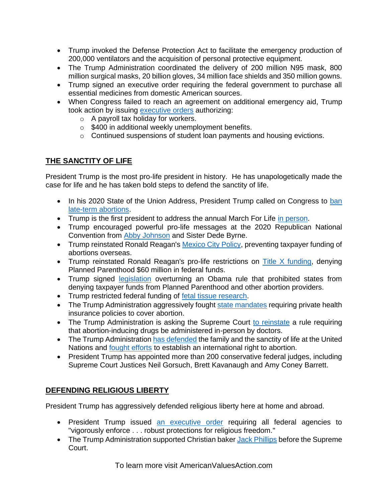- Trump invoked the Defense Protection Act to facilitate the emergency production of 200,000 ventilators and the acquisition of personal protective equipment.
- The Trump Administration coordinated the delivery of 200 million N95 mask, 800 million surgical masks, 20 billion gloves, 34 million face shields and 350 million gowns.
- Trump signed an executive order requiring the federal government to purchase all essential medicines from domestic American sources.
- When Congress failed to reach an agreement on additional emergency aid. Trump took action by issuing [executive orders](https://thehill.com/hilltv/what-americas-thinking/513453-poll-68-percent-approve-of-president-trumps-executive-order-for) authorizing:
	- o A payroll tax holiday for workers.
	- $\circ$  \$400 in additional weekly unemployment benefits.
	- o Continued suspensions of student loan payments and housing evictions.

## **THE SANCTITY OF LIFE**

President Trump is the most pro-life president in history. He has unapologetically made the case for life and he has taken bold steps to defend the sanctity of life.

- In his 2020 State of the Union Address, President Trump called on Congress to ban [late-term abortions.](https://www.youtube.com/watch?v=N16IMmAB8xA)
- Trump is the first president to address the annual March For Life [in person.](https://www.c-span.org/video/?468482-1/president-trump-addresses-march-life-rally)
- Trump encouraged powerful pro-life messages at the 2020 Republican National Convention from [Abby Johnson](https://www.youtube.com/watch?v=8Pl7yWDxpDg) and Sister Dede Byrne.
- Trump reinstated Ronald Reagan's [Mexico City Policy,](https://www.whitehouse.gov/presidential-actions/presidential-memorandum-regarding-mexico-city-policy/) preventing taxpayer funding of abortions overseas.
- Trump reinstated Ronald Reagan's pro-life restrictions on [Title X funding,](https://www.npr.org/2019/08/19/752438119/planned-parenthood-out-of-title-x-over-trump-rule) denying Planned Parenthood \$60 million in federal funds.
- Trump signed [legislation](https://www.npr.org/sections/thetwo-way/2017/04/13/523795052/trump-signs-law-giving-states-option-to-deny-funding-for-planned-parenthood) overturning an Obama rule that prohibited states from denying taxpayer funds from Planned Parenthood and other abortion providers.
- Trump restricted federal funding of [fetal tissue research.](https://www.lifenews.com/2020/08/25/president-trump-praised-for-stopping-funding-of-research-with-aborted-baby-parts/)
- The Trump Administration aggressively fought [state mandates](https://www.npr.org/2020/01/24/799206158/trump-administration-threatens-california-over-mandate-that-insurers-cover-abort) requiring private health insurance policies to cover abortion.
- The Trump Administration is asking the Supreme Court [to reinstate](https://thehill.com/regulation/court-battles/513829-trump-administration-asks-supreme-court-to-reinstate-abortion-pill) a rule requiring that abortion-inducing drugs be administered in-person by doctors.
- The Trump Administratio[n has defended](https://www.hhs.gov/about/agencies/oga/global-health-diplomacy/protecting-life-global-health-policy/joint-letter-july-2019/index.html) the family and the sanctity of life at the United Nations and **fought efforts** to establish an international right to abortion.
- President Trump has appointed more than 200 conservative federal judges, including Supreme Court Justices Neil Gorsuch, Brett Kavanaugh and Amy Coney Barrett.

## **DEFENDING RELIGIOUS LIBERTY**

President Trump has aggressively defended religious liberty here at home and abroad.

- President Trump issued [an executive order](https://www.whitehouse.gov/presidential-actions/presidential-executive-order-promoting-free-speech-religious-liberty/) requiring all federal agencies to "vigorously enforce . . . robust protections for religious freedom."
- The Trump Administration supported Christian baker [Jack Phillips](https://www.denverpost.com/2017/09/07/trump-sides-with-colorado-baker-who-refused-to-make-gay-wedding-cake/) before the Supreme Court.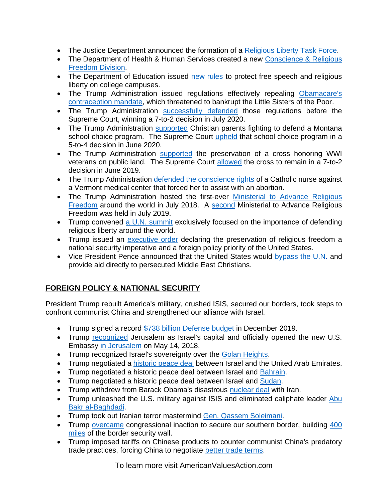- The Justice Department announced the formation of a [Religious Liberty Task Force.](https://www.washingtontimes.com/news/2018/jul/30/jeff-sessions-forms-religious-liberty-task-force-t/)
- The Department of Health & Human Services created a new Conscience & Religious [Freedom Division.](https://www.hhs.gov/about/news/2018/01/18/hhs-ocr-announces-new-conscience-and-religious-freedom-division.html)
- The Department of Education issued [new rules](https://www.ed.gov/news/press-releases/us-department-education-reaffirms-commitment-protecting-religious-liberty-students-and-religious-organizations) to protect free speech and religious liberty on college campuses.
- The Trump Administration issued regulations effectively repealing [Obamacare's](https://www.politico.com/story/2017/10/06/trump-rolls-back-obamacares-contraception-rule-243537)  [contraception mandate,](https://www.politico.com/story/2017/10/06/trump-rolls-back-obamacares-contraception-rule-243537) which threatened to bankrupt the Little Sisters of the Poor.
- The Trump Administration [successfully defended](https://www.politico.com/story/2017/10/06/trump-rolls-back-obamacares-contraception-rule-243537) those regulations before the Supreme Court, winning a 7-to-2 decision in July 2020.
- The Trump Administration [supported](https://www.justice.gov/opa/pr/department-justice-files-amicus-brief-montana-school-choice-case) Christian parents fighting to defend a Montana school choice program. The Supreme Court [upheld](https://www.cnn.com/2020/06/30/politics/espinoza-montana-religious-schools-scholarship-supreme-court/index.html) that school choice program in a 5-to-4 decision in June 2020.
- The Trump Administration [supported](https://tennesseestar.com/2018/12/28/trump-administration-urges-supreme-court-to-protect-cross-shaped-war-memorial/) the preservation of a cross honoring WWI veterans on public land. The Supreme Court [allowed](https://baltimore.cbslocal.com/2019/06/20/supreme-court-rules-bladensburg-peace-cross-can-stand-on-public-land-in-maryland/) the cross to remain in a 7-to-2 decision in June 2019.
- The Trump Administration [defended the conscience rights](https://www.washingtonexaminer.com/policy/healthcare/trump-administration-puts-vermont-hospital-on-notice-for-forcing-catholic-nurse-to-help-in-abortion) of a Catholic nurse against a Vermont medical center that forced her to assist with an abortion.
- The Trump Administration hosted the first-ever Ministerial to Advance Religious [Freedom](https://www.state.gov/2018-ministerial-to-advance-religious-freedom/) around the world in July 2018. A [second](https://www.state.gov/2019-ministerial-to-advance-religious-freedom/) Ministerial to Advance Religious Freedom was held in July 2019.
- Trump convened [a U.N. summit](https://www.forbes.com/sites/ewelinaochab/2019/09/23/president-trump-tells-businesses-to-protect-religious-freedom/#52cca7ef4df1) exclusively focused on the importance of defending religious liberty around the world.
- Trump issued an [executive order](https://www.whitehouse.gov/presidential-actions/executive-order-advancing-international-religious-freedom/#:~:text=(a)%20Religious%20freedom%2C%20America) declaring the preservation of religious freedom a national security imperative and a foreign policy priority of the United States.
- Vice President Pence announced that the United States would [bypass the U.N.](https://www.christianitytoday.com/news/2017/october/pence-us-persecuted-christians-usaid-un.html) and provide aid directly to persecuted Middle East Christians.

## **FOREIGN POLICY & NATIONAL SECURITY**

President Trump rebuilt America's military, crushed ISIS, secured our borders, took steps to confront communist China and strengthened our alliance with Israel.

- Trump signed a record [\\$738 billion Defense budget](https://www.cnbc.com/2019/12/21/trump-signs-738-billion-defense-bill.html) in December 2019.
- Trump [recognized](https://www.whitehouse.gov/presidential-actions/presidential-proclamation-recognizing-jerusalem-capital-state-israel-relocating-united-states-embassy-israel-jerusalem/#:~:text=The%20foreign%20policy%20of%20the,honest%20acknowledgment%20of%20plain%20facts.&text=This%20long%20overdue%20recognition%20of,between%20Israel%20and%20the%20Palestinians.) Jerusalem as Israel's capital and officially opened the new U.S. Embassy [in Jerusalem](https://www.nbcnews.com/news/world/jerusalem-embassy-set-open-u-s-tells-israel-you-are-n873836) on May 14, 2018.
- Trump recognized Israel's sovereignty over the [Golan Heights.](https://www.npr.org/2019/03/25/706588932/trump-formally-recognizes-israeli-sovereignty-over-golan-heights)
- Trump negotiated a [historic peace deal](https://www.foxnews.com/politics/trump-israel-uae-peace-deal-biden-muslim-quanta-ahmed) between Israel and the United Arab Emirates.
- Trump negotiated a historic peace deal between Israel and **Bahrain**.
- Trump negotiated a historic peace deal between Israel and [Sudan.](https://www.jpost.com/israel-news/sudans-deal-with-israel-is-against-all-odds-647386)
- Trump withdrew from Barack Obama's disastrous [nuclear deal](https://www.whitehouse.gov/briefings-statements/president-donald-j-trump-ending-united-states-participation-unacceptable-iran-deal/) with Iran.
- Trump unleashed the U.S. military against ISIS and eliminated caliphate leader Abu [Bakr al-Baghdadi.](https://www.whitehouse.gov/briefings-statements/remarks-president-trump-death-isis-leader-abu-bakr-al-baghdadi/)
- Trump took out Iranian terror mastermind [Gen. Qassem Soleimani.](https://www.foxnews.com/world/rockets-baghdad-airport-injuries-reported)
- Trump [overcame](https://www.foxnews.com/politics/trump-eyes-8b-border-wall-funding-emergency-declaration) congressional inaction to secure our southern border, building 400 [miles](https://abc13.com/society/feds-celebrate-400-miles-of-border-wall-construction/7449753/) of the border security wall.
- Trump imposed tariffs on Chinese products to counter communist China's predatory trade practices, forcing China to negotiate [better trade terms.](https://www.npr.org/2020/01/15/796305300/trump-to-sign-phase-one-china-trade-deal-but-most-tariffs-remain-in-place)

To learn more visit AmericanValuesAction.com